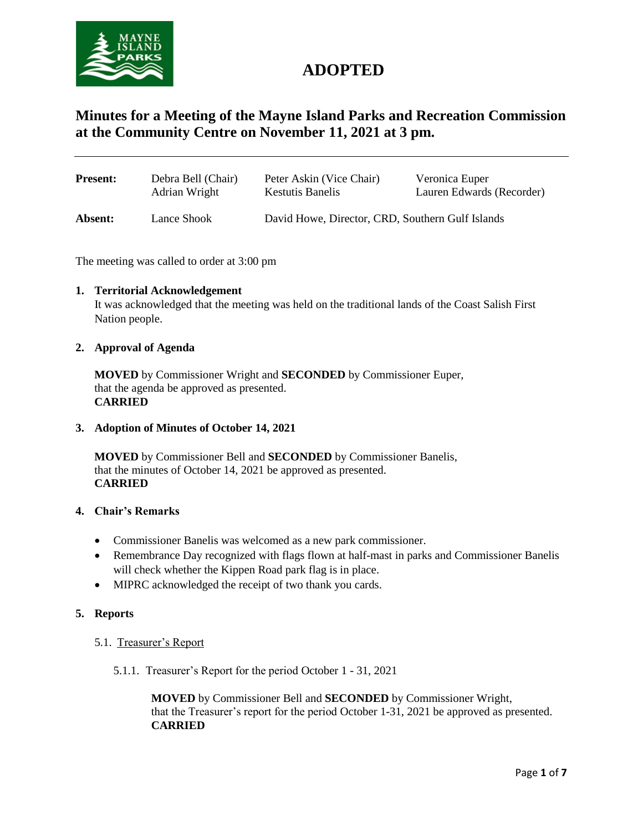

# **ADOPTED**

## **Minutes for a Meeting of the Mayne Island Parks and Recreation Commission at the Community Centre on November 11, 2021 at 3 pm.**

| <b>Present:</b> | Debra Bell (Chair) | Peter Askin (Vice Chair)                         | Veronica Euper            |
|-----------------|--------------------|--------------------------------------------------|---------------------------|
|                 | Adrian Wright      | <b>Kestutis Banelis</b>                          | Lauren Edwards (Recorder) |
| Absent:         | Lance Shook        | David Howe, Director, CRD, Southern Gulf Islands |                           |

The meeting was called to order at 3:00 pm

#### **1. Territorial Acknowledgement**

It was acknowledged that the meeting was held on the traditional lands of the Coast Salish First Nation people.

#### **2. Approval of Agenda**

**MOVED** by Commissioner Wright and **SECONDED** by Commissioner Euper, that the agenda be approved as presented. **CARRIED**

#### **3. Adoption of Minutes of October 14, 2021**

**MOVED** by Commissioner Bell and **SECONDED** by Commissioner Banelis, that the minutes of October 14, 2021 be approved as presented. **CARRIED**

#### **4. Chair's Remarks**

- Commissioner Banelis was welcomed as a new park commissioner.
- Remembrance Day recognized with flags flown at half-mast in parks and Commissioner Banelis will check whether the Kippen Road park flag is in place.
- MIPRC acknowledged the receipt of two thank you cards.

#### **5. Reports**

- 5.1. Treasurer's Report
	- 5.1.1. Treasurer's Report for the period October 1 31, 2021

**MOVED** by Commissioner Bell and **SECONDED** by Commissioner Wright, that the Treasurer's report for the period October 1-31, 2021 be approved as presented. **CARRIED**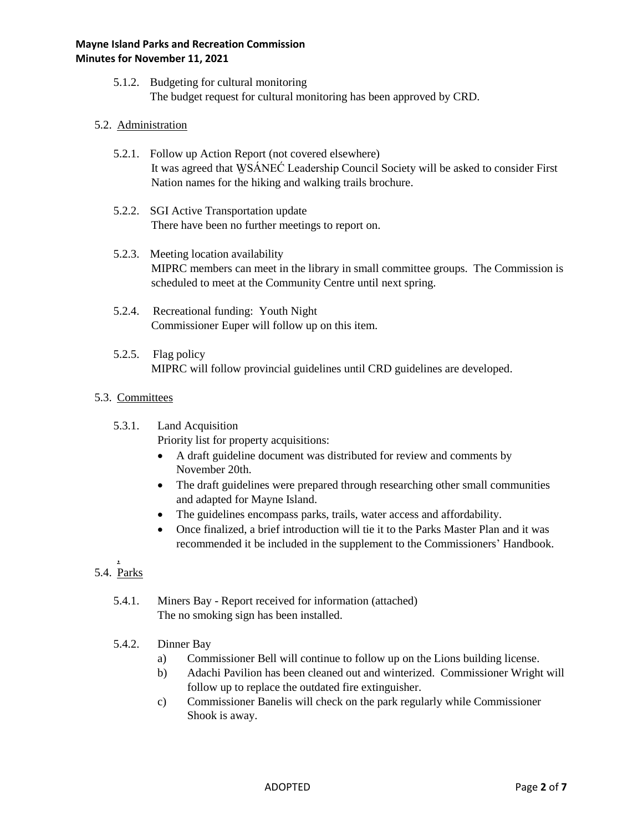5.1.2. Budgeting for cultural monitoring The budget request for cultural monitoring has been approved by CRD.

### 5.2. Administration

- 5.2.1. Follow up Action Report (not covered elsewhere) It was agreed that WSÁNEĆ Leadership Council Society will be asked to consider First Nation names for the hiking and walking trails brochure.
- 5.2.2. SGI Active Transportation update There have been no further meetings to report on.
- 5.2.3. Meeting location availability MIPRC members can meet in the library in small committee groups. The Commission is scheduled to meet at the Community Centre until next spring.
- 5.2.4. Recreational funding: Youth Night Commissioner Euper will follow up on this item.
- 5.2.5. Flag policy MIPRC will follow provincial guidelines until CRD guidelines are developed.

#### 5.3. Committees

5.3.1. Land Acquisition

Priority list for property acquisitions:

- A draft guideline document was distributed for review and comments by November 20th.
- The draft guidelines were prepared through researching other small communities and adapted for Mayne Island.
- The guidelines encompass parks, trails, water access and affordability.
- Once finalized, a brief introduction will tie it to the Parks Master Plan and it was recommended it be included in the supplement to the Commissioners' Handbook.
- , 5.4. Parks
	- 5.4.1. Miners Bay Report received for information (attached) The no smoking sign has been installed.
	- 5.4.2. Dinner Bay
		- a) Commissioner Bell will continue to follow up on the Lions building license.
		- b) Adachi Pavilion has been cleaned out and winterized. Commissioner Wright will follow up to replace the outdated fire extinguisher.
		- c) Commissioner Banelis will check on the park regularly while Commissioner Shook is away.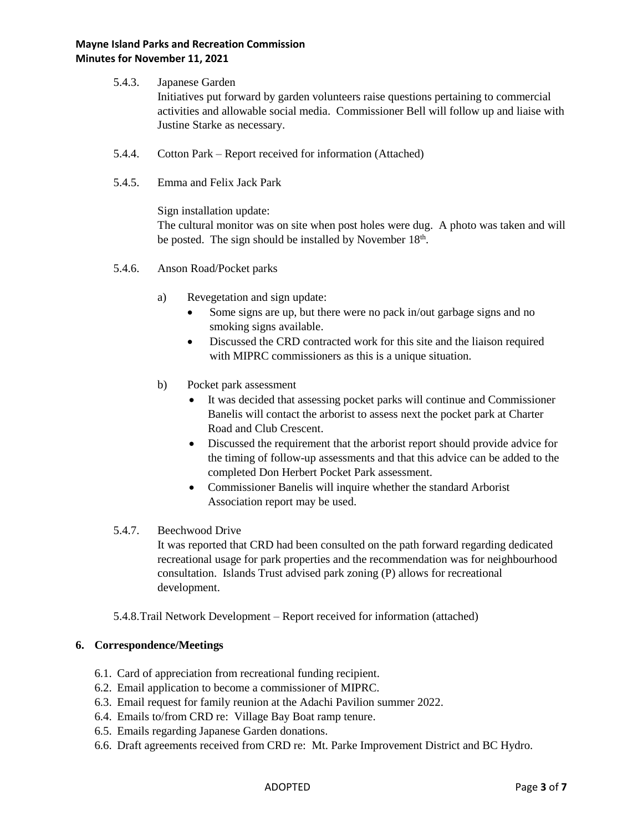#### **Mayne Island Parks and Recreation Commission Minutes for November 11, 2021**

#### 5.4.3. Japanese Garden

Initiatives put forward by garden volunteers raise questions pertaining to commercial activities and allowable social media. Commissioner Bell will follow up and liaise with Justine Starke as necessary.

- 5.4.4. Cotton Park Report received for information (Attached)
- 5.4.5. Emma and Felix Jack Park

Sign installation update: The cultural monitor was on site when post holes were dug. A photo was taken and will be posted. The sign should be installed by November  $18<sup>th</sup>$ .

- 5.4.6. Anson Road/Pocket parks
	- a) Revegetation and sign update:
		- Some signs are up, but there were no pack in/out garbage signs and no smoking signs available.
		- Discussed the CRD contracted work for this site and the liaison required with MIPRC commissioners as this is a unique situation.
	- b) Pocket park assessment
		- It was decided that assessing pocket parks will continue and Commissioner Banelis will contact the arborist to assess next the pocket park at Charter Road and Club Crescent.
		- Discussed the requirement that the arborist report should provide advice for the timing of follow-up assessments and that this advice can be added to the completed Don Herbert Pocket Park assessment.
		- Commissioner Banelis will inquire whether the standard Arborist Association report may be used.

### 5.4.7. Beechwood Drive

It was reported that CRD had been consulted on the path forward regarding dedicated recreational usage for park properties and the recommendation was for neighbourhood consultation. Islands Trust advised park zoning (P) allows for recreational development.

5.4.8.Trail Network Development – Report received for information (attached)

#### **6. Correspondence/Meetings**

- 6.1. Card of appreciation from recreational funding recipient.
- 6.2. Email application to become a commissioner of MIPRC.
- 6.3. Email request for family reunion at the Adachi Pavilion summer 2022.
- 6.4. Emails to/from CRD re: Village Bay Boat ramp tenure.
- 6.5. Emails regarding Japanese Garden donations.
- 6.6. Draft agreements received from CRD re: Mt. Parke Improvement District and BC Hydro.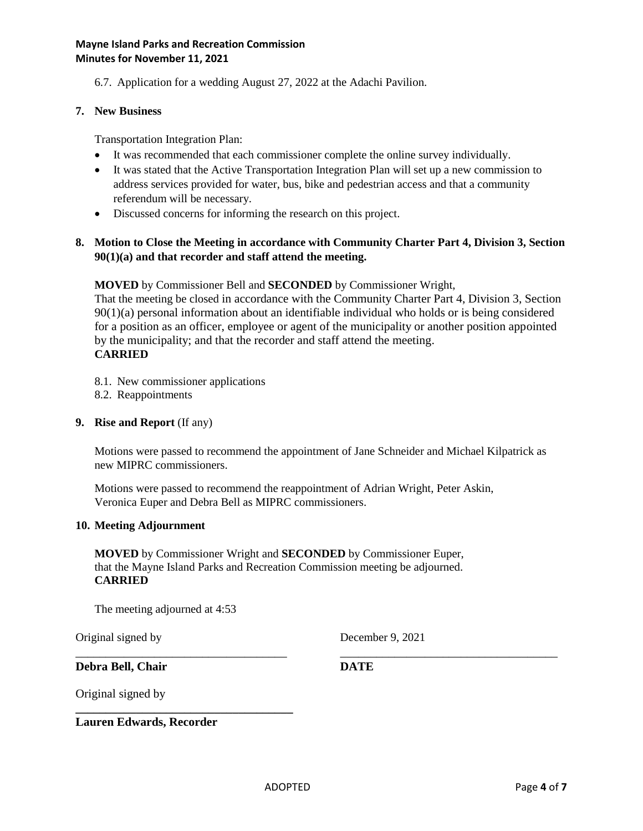6.7. Application for a wedding August 27, 2022 at the Adachi Pavilion.

#### **7. New Business**

Transportation Integration Plan:

- It was recommended that each commissioner complete the online survey individually.
- It was stated that the Active Transportation Integration Plan will set up a new commission to address services provided for water, bus, bike and pedestrian access and that a community referendum will be necessary.
- Discussed concerns for informing the research on this project.

## **8. Motion to Close the Meeting in accordance with Community Charter Part 4, Division 3, Section 90(1)(a) and that recorder and staff attend the meeting.**

**MOVED** by Commissioner Bell and **SECONDED** by Commissioner Wright,

That the meeting be closed in accordance with the Community Charter Part 4, Division 3, Section 90(1)(a) personal information about an identifiable individual who holds or is being considered for a position as an officer, employee or agent of the municipality or another position appointed by the municipality; and that the recorder and staff attend the meeting. **CARRIED**

- 8.1. New commissioner applications
- 8.2. Reappointments

#### **9. Rise and Report** (If any)

Motions were passed to recommend the appointment of Jane Schneider and Michael Kilpatrick as new MIPRC commissioners.

Motions were passed to recommend the reappointment of Adrian Wright, Peter Askin, Veronica Euper and Debra Bell as MIPRC commissioners.

#### **10. Meeting Adjournment**

**MOVED** by Commissioner Wright and **SECONDED** by Commissioner Euper, that the Mayne Island Parks and Recreation Commission meeting be adjourned. **CARRIED**

The meeting adjourned at 4:53

**\_\_\_\_\_\_\_\_\_\_\_\_\_\_\_\_\_\_\_\_\_\_\_\_\_\_\_\_\_\_\_\_\_\_\_\_**

Original signed by December 9, 2021

**Debra Bell, Chair DATE**

\_\_\_\_\_\_\_\_\_\_\_\_\_\_\_\_\_\_\_\_\_\_\_\_\_\_\_\_\_\_\_\_\_\_\_ \_\_\_\_\_\_\_\_\_\_\_\_\_\_\_\_\_\_\_\_\_\_\_\_\_\_\_\_\_\_\_\_\_\_\_\_

Original signed by

**Lauren Edwards, Recorder**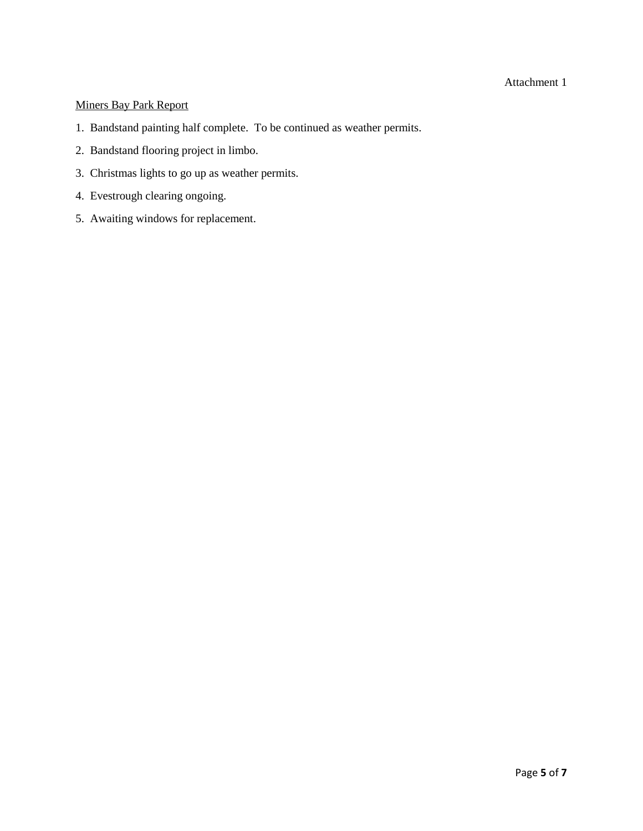#### Attachment 1

## Miners Bay Park Report

- 1. Bandstand painting half complete. To be continued as weather permits.
- 2. Bandstand flooring project in limbo.
- 3. Christmas lights to go up as weather permits.
- 4. Evestrough clearing ongoing.
- 5. Awaiting windows for replacement.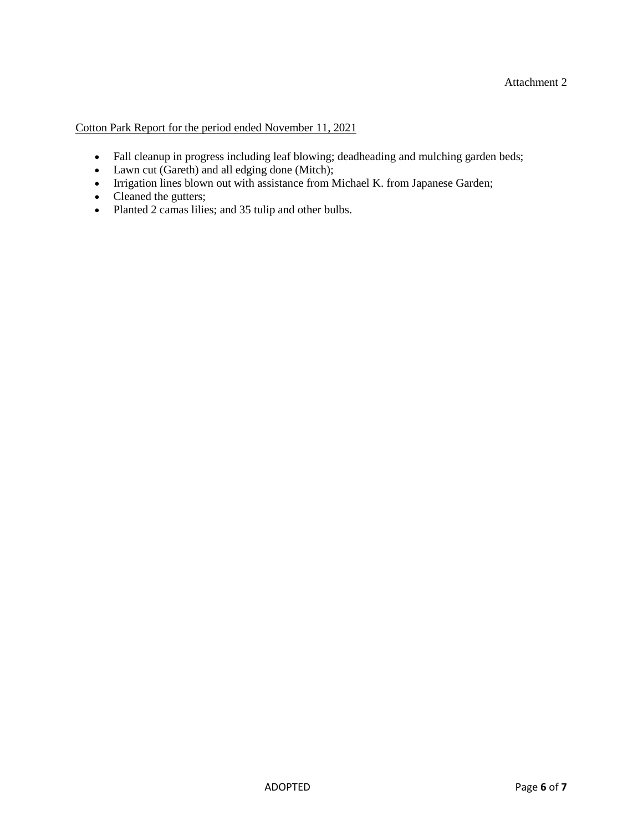Cotton Park Report for the period ended November 11, 2021

- Fall cleanup in progress including leaf blowing; deadheading and mulching garden beds;
- Lawn cut (Gareth) and all edging done (Mitch);
- Irrigation lines blown out with assistance from Michael K. from Japanese Garden;
- Cleaned the gutters;
- Planted 2 camas lilies; and 35 tulip and other bulbs.